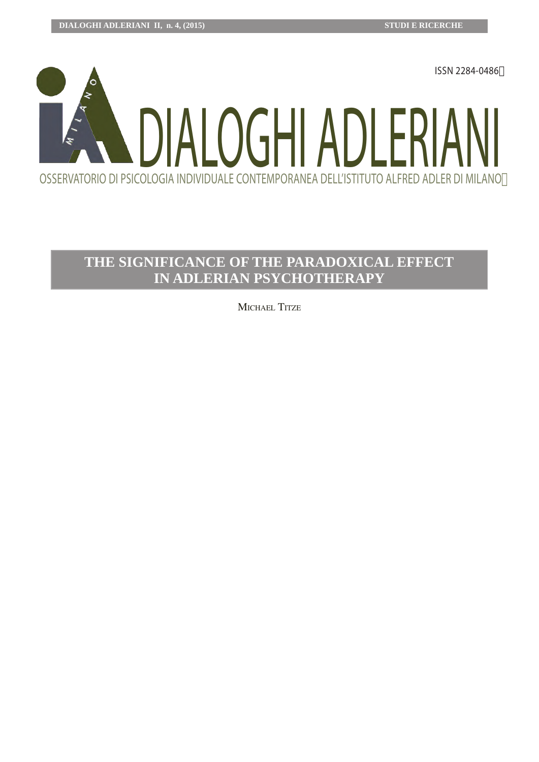

# **The significAnce of The pArAdoxicAl effecT in AdleriAn psychoTherApy**

MICHAEL TITZE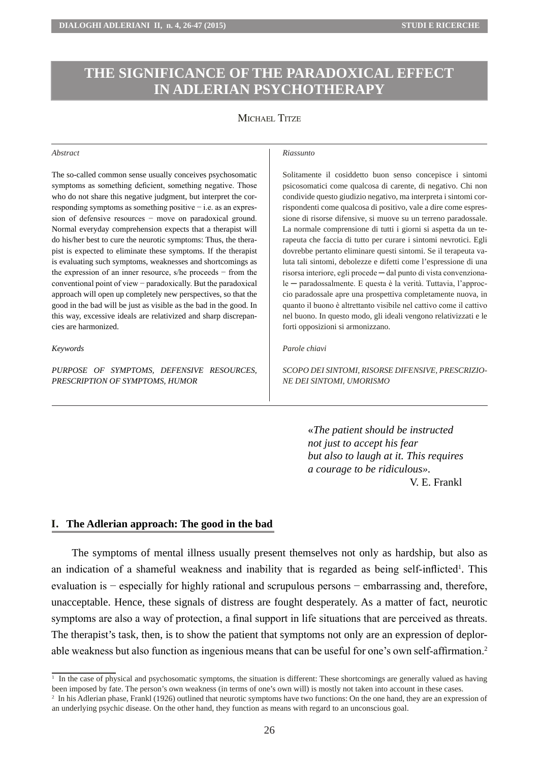# **The significance of the paradoxical effect in Adlerian psychotherapy**

# MICHAEL TITZE

#### *Abstract*

The so-called common sense usually conceives psychosomatic symptoms as something deficient, something negative. Those who do not share this negative judgment, but interpret the corresponding symptoms as something positive − i.e. as an expression of defensive resources − move on paradoxical ground. Normal everyday comprehension expects that a therapist will do his/her best to cure the neurotic symptoms: Thus, the therapist is expected to eliminate these symptoms. If the therapist is evaluating such symptoms, weaknesses and shortcomings as the expression of an inner resource, s/he proceeds − from the conventional point of view − paradoxically. But the paradoxical approach will open up completely new perspectives, so that the good in the bad will be just as visible as the bad in the good. In this way, excessive ideals are relativized and sharp discrepancies are harmonized.

#### *Keywords*

*purpose of symptoms , defensive resources, prescription of symptoms , humor*

#### *Riassunto*

Solitamente il cosiddetto buon senso concepisce i sintomi psicosomatici come qualcosa di carente, di negativo. Chi non condivide questo giudizio negativo, ma interpreta i sintomi corrispondenti come qualcosa di positivo, vale a dire come espressione di risorse difensive, si muove su un terreno paradossale. La normale comprensione di tutti i giorni si aspetta da un terapeuta che faccia di tutto per curare i sintomi nevrotici. Egli dovrebbe pertanto eliminare questi sintomi. Se il terapeuta valuta tali sintomi, debolezze e difetti come l'espressione di una risorsa interiore, egli procede ─ dal punto di vista convenzionale ─ paradossalmente. E questa è la verità. Tuttavia, l'approccio paradossale apre una prospettiva completamente nuova, in quanto il buono è altrettanto visibile nel cattivo come il cattivo nel buono. In questo modo, gli ideali vengono relativizzati e le forti opposizioni si armonizzano.

#### *Parole chiavi*

*SCOPO Dei SINTOMI, RISORSE DIFENSIVE, PRESCRIZIO-NE DEI SINTOMI, UMORISMO*

> «*The patient should be instructed not just to accept his fear but also to laugh at it. This requires a courage to be ridiculous».* V. E. Frankl

## **I. The Adlerian approach: The good in the bad**

The symptoms of mental illness usually present themselves not only as hardship, but also as an indication of a shameful weakness and inability that is regarded as being self-inflicted<sup>1</sup>. This evaluation is – especially for highly rational and scrupulous persons – embarrassing and, therefore, unacceptable. Hence, these signals of distress are fought desperately. As a matter of fact, neurotic symptoms are also a way of protection, a final support in life situations that are perceived as threats. The therapist's task, then, is to show the patient that symptoms not only are an expression of deplorable weakness but also function as ingenious means that can be useful for one's own self-affirmation.<sup>2</sup>

<sup>&</sup>lt;sup>1</sup> In the case of physical and psychosomatic symptoms, the situation is different: These shortcomings are generally valued as having been imposed by fate. The person's own weakness (in terms of one's own will) is mostly not taken into account in these cases.

<sup>&</sup>lt;sup>2</sup> In his Adlerian phase, Frankl (1926) outlined that neurotic symptoms have two functions: On the one hand, they are an expression of an underlying psychic disease. On the other hand, they function as means with regard to an unconscious goal.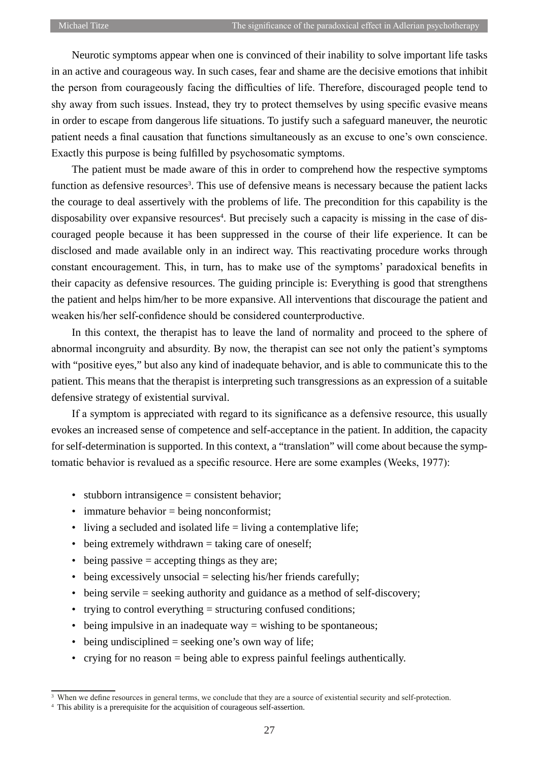Neurotic symptoms appear when one is convinced of their inability to solve important life tasks in an active and courageous way. In such cases, fear and shame are the decisive emotions that inhibit the person from courageously facing the difficulties of life. Therefore, discouraged people tend to shy away from such issues. Instead, they try to protect themselves by using specific evasive means in order to escape from dangerous life situations. To justify such a safeguard maneuver, the neurotic patient needs a final causation that functions simultaneously as an excuse to one's own conscience. Exactly this purpose is being fulfilled by psychosomatic symptoms.

The patient must be made aware of this in order to comprehend how the respective symptoms function as defensive resources<sup>3</sup>. This use of defensive means is necessary because the patient lacks the courage to deal assertively with the problems of life. The precondition for this capability is the disposability over expansive resources<sup>4</sup>. But precisely such a capacity is missing in the case of discouraged people because it has been suppressed in the course of their life experience. It can be disclosed and made available only in an indirect way. This reactivating procedure works through constant encouragement. This, in turn, has to make use of the symptoms' paradoxical benefits in their capacity as defensive resources. The guiding principle is: Everything is good that strengthens the patient and helps him/her to be more expansive. All interventions that discourage the patient and weaken his/her self-confidence should be considered counterproductive.

In this context, the therapist has to leave the land of normality and proceed to the sphere of abnormal incongruity and absurdity. By now, the therapist can see not only the patient's symptoms with "positive eyes," but also any kind of inadequate behavior, and is able to communicate this to the patient. This means that the therapist is interpreting such transgressions as an expression of a suitable defensive strategy of existential survival.

If a symptom is appreciated with regard to its significance as a defensive resource, this usually evokes an increased sense of competence and self-acceptance in the patient. In addition, the capacity for self-determination is supported. In this context, a "translation" will come about because the symptomatic behavior is revalued as a specific resource. Here are some examples (Weeks, 1977):

- stubborn intransigence = consistent behavior;
- immature behavior = being nonconformist;
- living a secluded and isolated life = living a contemplative life;
- being extremely withdrawn = taking care of oneself;
- $\bullet$  being passive = accepting things as they are;
- being excessively unsocial = selecting his/her friends carefully;
- being servile = seeking authority and guidance as a method of self-discovery;
- trying to control everything = structuring confused conditions;
- being impulsive in an inadequate way = wishing to be spontaneous;
- being undisciplined = seeking one's own way of life;
- crying for no reason = being able to express painful feelings authentically.

<sup>&</sup>lt;sup>3</sup> When we define resources in general terms, we conclude that they are a source of existential security and self-protection.

<sup>&</sup>lt;sup>4</sup> This ability is a prerequisite for the acquisition of courageous self-assertion.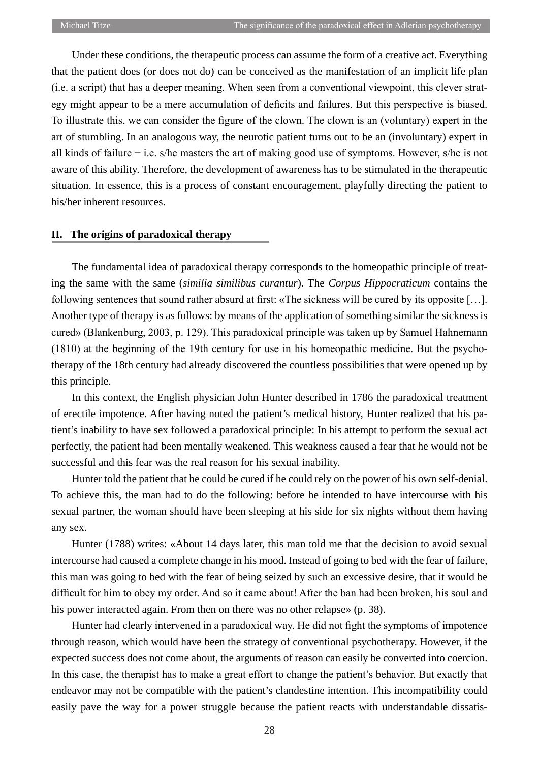Under these conditions, the therapeutic process can assume the form of a creative act. Everything that the patient does (or does not do) can be conceived as the manifestation of an implicit life plan (i.e. a script) that has a deeper meaning. When seen from a conventional viewpoint, this clever strategy might appear to be a mere accumulation of deficits and failures. But this perspective is biased. To illustrate this, we can consider the figure of the clown. The clown is an (voluntary) expert in the art of stumbling. In an analogous way, the neurotic patient turns out to be an (involuntary) expert in all kinds of failure − i.e. s/he masters the art of making good use of symptoms. However, s/he is not aware of this ability. Therefore, the development of awareness has to be stimulated in the therapeutic situation. In essence, this is a process of constant encouragement, playfully directing the patient to his/her inherent resources.

## **II. The origins of paradoxical therapy**

The fundamental idea of paradoxical therapy corresponds to the homeopathic principle of treating the same with the same (*similia similibus curantur*). The *Corpus Hippocraticum* contains the following sentences that sound rather absurd at first: «The sickness will be cured by its opposite […]. Another type of therapy is as follows: by means of the application of something similar the sickness is cured» (Blankenburg, 2003, p. 129). This paradoxical principle was taken up by Samuel Hahnemann (1810) at the beginning of the 19th century for use in his homeopathic medicine. But the psychotherapy of the 18th century had already discovered the countless possibilities that were opened up by this principle.

In this context, the English physician John Hunter described in 1786 the paradoxical treatment of erectile impotence. After having noted the patient's medical history, Hunter realized that his patient's inability to have sex followed a paradoxical principle: In his attempt to perform the sexual act perfectly, the patient had been mentally weakened. This weakness caused a fear that he would not be successful and this fear was the real reason for his sexual inability.

Hunter told the patient that he could be cured if he could rely on the power of his own self-denial. To achieve this, the man had to do the following: before he intended to have intercourse with his sexual partner, the woman should have been sleeping at his side for six nights without them having any sex.

Hunter (1788) writes: «About 14 days later, this man told me that the decision to avoid sexual intercourse had caused a complete change in his mood. Instead of going to bed with the fear of failure, this man was going to bed with the fear of being seized by such an excessive desire, that it would be difficult for him to obey my order. And so it came about! After the ban had been broken, his soul and his power interacted again. From then on there was no other relapse» (p. 38).

Hunter had clearly intervened in a paradoxical way. He did not fight the symptoms of impotence through reason, which would have been the strategy of conventional psychotherapy. However, if the expected success does not come about, the arguments of reason can easily be converted into coercion. In this case, the therapist has to make a great effort to change the patient's behavior. But exactly that endeavor may not be compatible with the patient's clandestine intention. This incompatibility could easily pave the way for a power struggle because the patient reacts with understandable dissatis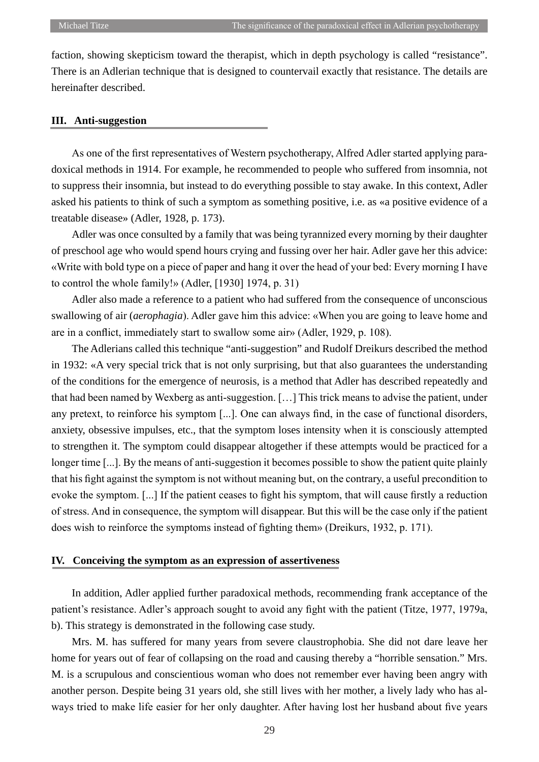faction, showing skepticism toward the therapist, which in depth psychology is called "resistance". There is an Adlerian technique that is designed to countervail exactly that resistance. The details are hereinafter described.

#### **III. Anti-suggestion**

As one of the first representatives of Western psychotherapy, Alfred Adler started applying paradoxical methods in 1914. For example, he recommended to people who suffered from insomnia, not to suppress their insomnia, but instead to do everything possible to stay awake. In this context, Adler asked his patients to think of such a symptom as something positive, i.e. as «a positive evidence of a treatable disease» (Adler, 1928, p. 173).

Adler was once consulted by a family that was being tyrannized every morning by their daughter of preschool age who would spend hours crying and fussing over her hair. Adler gave her this advice: «Write with bold type on a piece of paper and hang it over the head of your bed: Every morning I have to control the whole family!» (Adler, [1930] 1974, p. 31)

Adler also made a reference to a patient who had suffered from the consequence of unconscious swallowing of air (*aerophagia*). Adler gave him this advice: «When you are going to leave home and are in a conflict, immediately start to swallow some air» (Adler, 1929, p. 108).

The Adlerians called this technique "anti-suggestion" and Rudolf Dreikurs described the method in 1932: «A very special trick that is not only surprising, but that also guarantees the understanding of the conditions for the emergence of neurosis, is a method that Adler has described repeatedly and that had been named by Wexberg as anti-suggestion. […] This trick means to advise the patient, under any pretext, to reinforce his symptom [...]. One can always find, in the case of functional disorders, anxiety, obsessive impulses, etc., that the symptom loses intensity when it is consciously attempted to strengthen it. The symptom could disappear altogether if these attempts would be practiced for a longer time [...]. By the means of anti-suggestion it becomes possible to show the patient quite plainly that his fight against the symptom is not without meaning but, on the contrary, a useful precondition to evoke the symptom. [...] If the patient ceases to fight his symptom, that will cause firstly a reduction of stress. And in consequence, the symptom will disappear. But this will be the case only if the patient does wish to reinforce the symptoms instead of fighting them» (Dreikurs, 1932, p. 171).

### **IV. Conceiving the symptom as an expression of assertiveness**

In addition, Adler applied further paradoxical methods, recommending frank acceptance of the patient's resistance. Adler's approach sought to avoid any fight with the patient (Titze, 1977, 1979a, b). This strategy is demonstrated in the following case study.

Mrs. M. has suffered for many years from severe claustrophobia. She did not dare leave her home for years out of fear of collapsing on the road and causing thereby a "horrible sensation." Mrs. M. is a scrupulous and conscientious woman who does not remember ever having been angry with another person. Despite being 31 years old, she still lives with her mother, a lively lady who has always tried to make life easier for her only daughter. After having lost her husband about five years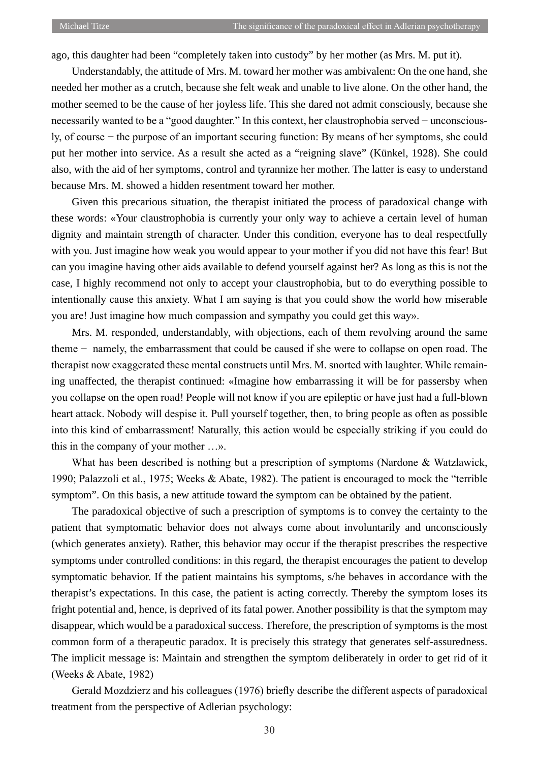ago, this daughter had been "completely taken into custody" by her mother (as Mrs. M. put it).

Understandably, the attitude of Mrs. M. toward her mother was ambivalent: On the one hand, she needed her mother as a crutch, because she felt weak and unable to live alone. On the other hand, the mother seemed to be the cause of her joyless life. This she dared not admit consciously, because she necessarily wanted to be a "good daughter." In this context, her claustrophobia served − unconsciously, of course − the purpose of an important securing function: By means of her symptoms, she could put her mother into service. As a result she acted as a "reigning slave" (Künkel, 1928). She could also, with the aid of her symptoms, control and tyrannize her mother. The latter is easy to understand because Mrs. M. showed a hidden resentment toward her mother.

Given this precarious situation, the therapist initiated the process of paradoxical change with these words: «Your claustrophobia is currently your only way to achieve a certain level of human dignity and maintain strength of character. Under this condition, everyone has to deal respectfully with you. Just imagine how weak you would appear to your mother if you did not have this fear! But can you imagine having other aids available to defend yourself against her? As long as this is not the case, I highly recommend not only to accept your claustrophobia, but to do everything possible to intentionally cause this anxiety. What I am saying is that you could show the world how miserable you are! Just imagine how much compassion and sympathy you could get this way».

Mrs. M. responded, understandably, with objections, each of them revolving around the same theme − namely, the embarrassment that could be caused if she were to collapse on open road. The therapist now exaggerated these mental constructs until Mrs. M. snorted with laughter. While remaining unaffected, the therapist continued: «Imagine how embarrassing it will be for passersby when you collapse on the open road! People will not know if you are epileptic or have just had a full-blown heart attack. Nobody will despise it. Pull yourself together, then, to bring people as often as possible into this kind of embarrassment! Naturally, this action would be especially striking if you could do this in the company of your mother …».

What has been described is nothing but a prescription of symptoms (Nardone & Watzlawick, 1990; Palazzoli et al., 1975; Weeks & Abate, 1982). The patient is encouraged to mock the "terrible symptom". On this basis, a new attitude toward the symptom can be obtained by the patient.

The paradoxical objective of such a prescription of symptoms is to convey the certainty to the patient that symptomatic behavior does not always come about involuntarily and unconsciously (which generates anxiety). Rather, this behavior may occur if the therapist prescribes the respective symptoms under controlled conditions: in this regard, the therapist encourages the patient to develop symptomatic behavior. If the patient maintains his symptoms, s/he behaves in accordance with the therapist's expectations. In this case, the patient is acting correctly. Thereby the symptom loses its fright potential and, hence, is deprived of its fatal power. Another possibility is that the symptom may disappear, which would be a paradoxical success. Therefore, the prescription of symptoms is the most common form of a therapeutic paradox. It is precisely this strategy that generates self-assuredness. The implicit message is: Maintain and strengthen the symptom deliberately in order to get rid of it (Weeks & Abate, 1982)

Gerald Mozdzierz and his colleagues (1976) briefly describe the different aspects of paradoxical treatment from the perspective of Adlerian psychology: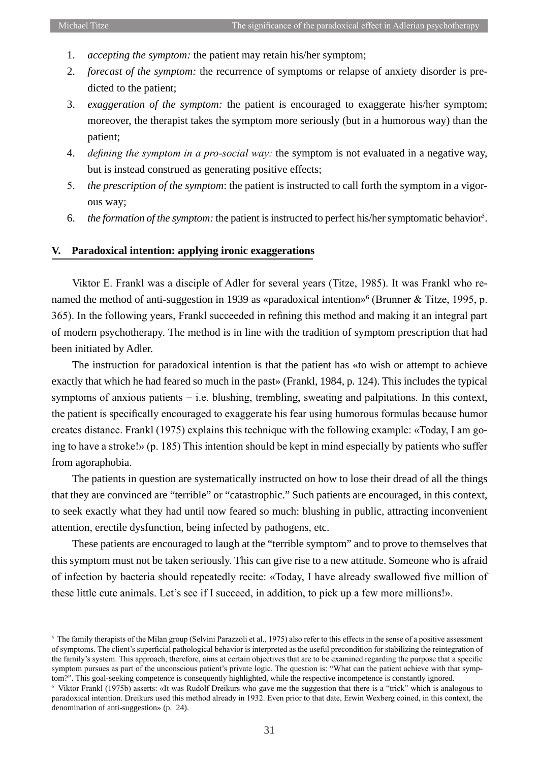- 1. *accepting the symptom:* the patient may retain his/her symptom;
- 2. *forecast of the symptom:* the recurrence of symptoms or relapse of anxiety disorder is predicted to the patient;
- 3. *exaggeration of the symptom:* the patient is encouraged to exaggerate his/her symptom; moreover, the therapist takes the symptom more seriously (but in a humorous way) than the patient;
- 4. *defining the symptom in a pro-social way:* the symptom is not evaluated in a negative way, but is instead construed as generating positive effects;
- 5. *the prescription of the symptom*: the patient is instructed to call forth the symptom in a vigorous way;
- 6. the formation of the symptom: the patient is instructed to perfect his/her symptomatic behavior<sup>5</sup>.

## **V. Paradoxical intention: applying ironic exaggerations**

Viktor E. Frankl was a disciple of Adler for several years (Titze, 1985). It was Frankl who renamed the method of anti-suggestion in 1939 as «paradoxical intention»<sup>6</sup> (Brunner & Titze, 1995, p. 365). In the following years, Frankl succeeded in refining this method and making it an integral part of modern psychotherapy. The method is in line with the tradition of symptom prescription that had been initiated by Adler.

The instruction for paradoxical intention is that the patient has «to wish or attempt to achieve exactly that which he had feared so much in the past» (Frankl, 1984, p. 124). This includes the typical symptoms of anxious patients – i.e. blushing, trembling, sweating and palpitations. In this context, the patient is specifically encouraged to exaggerate his fear using humorous formulas because humor creates distance. Frankl (1975) explains this technique with the following example: «Today, I am going to have a stroke!» (p. 185) This intention should be kept in mind especially by patients who suffer from agoraphobia.

The patients in question are systematically instructed on how to lose their dread of all the things that they are convinced are "terrible" or "catastrophic." Such patients are encouraged, in this context, to seek exactly what they had until now feared so much: blushing in public, attracting inconvenient attention, erectile dysfunction, being infected by pathogens, etc.

These patients are encouraged to laugh at the "terrible symptom" and to prove to themselves that this symptom must not be taken seriously. This can give rise to a new attitude. Someone who is afraid of infection by bacteria should repeatedly recite: «Today, I have already swallowed five million of these little cute animals. Let's see if I succeed, in addition, to pick up a few more millions!».

<sup>&</sup>lt;sup>5</sup> The family therapists of the Milan group (Selvini Parazzoli et al., 1975) also refer to this effects in the sense of a positive assessment of symptoms. The client's superficial pathological behavior is interpreted as the useful precondition for stabilizing the reintegration of the family's system. This approach, therefore, aims at certain objectives that are to be examined regarding the purpose that a specific symptom pursues as part of the unconscious patient's private logic. The question is: "What can the patient achieve with that symptom?". This goal-seeking competence is consequently highlighted, while the respective incompetence is constantly ignored.

<sup>&</sup>lt;sup>6</sup> Viktor Frankl (1975b) asserts: «It was Rudolf Dreikurs who gave me the suggestion that there is a "trick" which is analogous to paradoxical intention. Dreikurs used this method already in 1932. Even prior to that date, Erwin Wexberg coined, in this context, the denomination of anti-suggestion» (p. 24).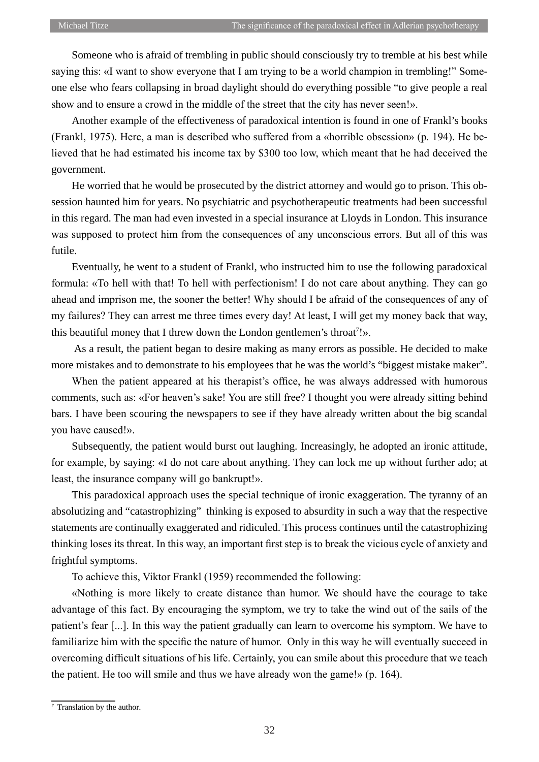Someone who is afraid of trembling in public should consciously try to tremble at his best while saying this: «I want to show everyone that I am trying to be a world champion in trembling!" Someone else who fears collapsing in broad daylight should do everything possible "to give people a real show and to ensure a crowd in the middle of the street that the city has never seen!».

Another example of the effectiveness of paradoxical intention is found in one of Frankl's books (Frankl, 1975). Here, a man is described who suffered from a «horrible obsession» (p. 194). He believed that he had estimated his income tax by \$300 too low, which meant that he had deceived the government.

He worried that he would be prosecuted by the district attorney and would go to prison. This obsession haunted him for years. No psychiatric and psychotherapeutic treatments had been successful in this regard. The man had even invested in a special insurance at Lloyds in London. This insurance was supposed to protect him from the consequences of any unconscious errors. But all of this was futile.

Eventually, he went to a student of Frankl, who instructed him to use the following paradoxical formula: «To hell with that! To hell with perfectionism! I do not care about anything. They can go ahead and imprison me, the sooner the better! Why should I be afraid of the consequences of any of my failures? They can arrest me three times every day! At least, I will get my money back that way, this beautiful money that I threw down the London gentlemen's throat<sup>7</sup>!».

 As a result, the patient began to desire making as many errors as possible. He decided to make more mistakes and to demonstrate to his employees that he was the world's "biggest mistake maker".

When the patient appeared at his therapist's office, he was always addressed with humorous comments, such as: «For heaven's sake! You are still free? I thought you were already sitting behind bars. I have been scouring the newspapers to see if they have already written about the big scandal you have caused!».

Subsequently, the patient would burst out laughing. Increasingly, he adopted an ironic attitude, for example, by saying: «I do not care about anything. They can lock me up without further ado; at least, the insurance company will go bankrupt!».

This paradoxical approach uses the special technique of ironic exaggeration. The tyranny of an absolutizing and "catastrophizing" thinking is exposed to absurdity in such a way that the respective statements are continually exaggerated and ridiculed. This process continues until the catastrophizing thinking loses its threat. In this way, an important first step is to break the vicious cycle of anxiety and frightful symptoms.

To achieve this, Viktor Frankl (1959) recommended the following:

«Nothing is more likely to create distance than humor. We should have the courage to take advantage of this fact. By encouraging the symptom, we try to take the wind out of the sails of the patient's fear [...]. In this way the patient gradually can learn to overcome his symptom. We have to familiarize him with the specific the nature of humor. Only in this way he will eventually succeed in overcoming difficult situations of his life. Certainly, you can smile about this procedure that we teach the patient. He too will smile and thus we have already won the game!» (p. 164).

*<sup>7</sup>* Translation by the author*.*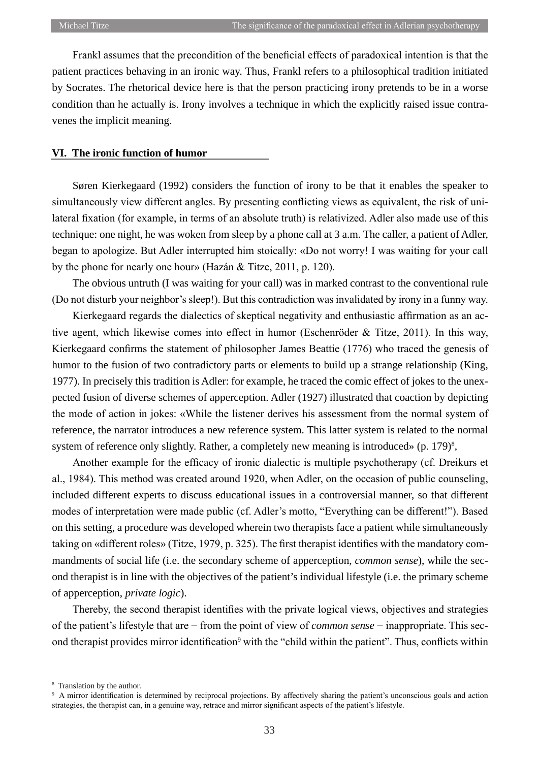Frankl assumes that the precondition of the beneficial effects of paradoxical intention is that the patient practices behaving in an ironic way. Thus, Frankl refers to a philosophical tradition initiated by Socrates. The rhetorical device here is that the person practicing irony pretends to be in a worse condition than he actually is. Irony involves a technique in which the explicitly raised issue contravenes the implicit meaning.

## **VI. The ironic function of humor**

Søren Kierkegaard (1992) considers the function of irony to be that it enables the speaker to simultaneously view different angles. By presenting conflicting views as equivalent, the risk of unilateral fixation (for example, in terms of an absolute truth) is relativized. Adler also made use of this technique: one night, he was woken from sleep by a phone call at 3 a.m. The caller, a patient of Adler, began to apologize. But Adler interrupted him stoically: «Do not worry! I was waiting for your call by the phone for nearly one hour» (Hazán & Titze, 2011, p. 120).

The obvious untruth (I was waiting for your call) was in marked contrast to the conventional rule (Do not disturb your neighbor's sleep!). But this contradiction was invalidated by irony in a funny way.

Kierkegaard regards the dialectics of skeptical negativity and enthusiastic affirmation as an active agent, which likewise comes into effect in humor (Eschenröder & Titze, 2011). In this way, Kierkegaard confirms the statement of philosopher James Beattie (1776) who traced the genesis of humor to the fusion of two contradictory parts or elements to build up a strange relationship (King, 1977). In precisely this tradition is Adler: for example, he traced the comic effect of jokes to the unexpected fusion of diverse schemes of apperception. Adler (1927) illustrated that coaction by depicting the mode of action in jokes: «While the listener derives his assessment from the normal system of reference, the narrator introduces a new reference system. This latter system is related to the normal system of reference only slightly. Rather, a completely new meaning is introduced» (p. 179)<sup>8</sup>,

Another example for the efficacy of ironic dialectic is multiple psychotherapy (cf. Dreikurs et al., 1984). This method was created around 1920, when Adler, on the occasion of public counseling, included different experts to discuss educational issues in a controversial manner, so that different modes of interpretation were made public (cf. Adler's motto, "Everything can be different!"). Based on this setting, a procedure was developed wherein two therapists face a patient while simultaneously taking on «different roles» (Titze, 1979, p. 325). The first therapist identifies with the mandatory commandments of social life (i.e. the secondary scheme of apperception, *common sense*), while the second therapist is in line with the objectives of the patient's individual lifestyle (i.e. the primary scheme of apperception, *private logic*).

Thereby, the second therapist identifies with the private logical views, objectives and strategies of the patient's lifestyle that are − from the point of view of *common sense* − inappropriate. This second therapist provides mirror identification<sup>9</sup> with the "child within the patient". Thus, conflicts within

<sup>8</sup> Translation by the author.

<sup>&</sup>lt;sup>9</sup> A mirror identification is determined by reciprocal projections. By affectively sharing the patient's unconscious goals and action strategies, the therapist can, in a genuine way, retrace and mirror significant aspects of the patient's lifestyle.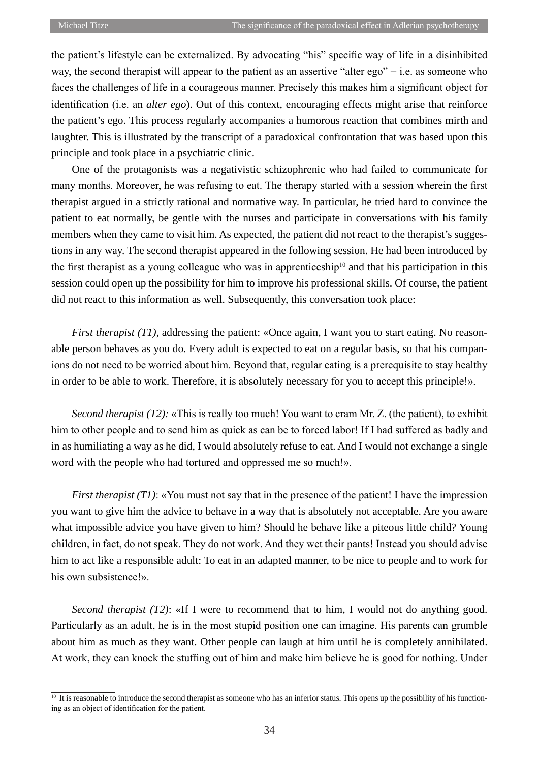the patient's lifestyle can be externalized. By advocating "his" specific way of life in a disinhibited way, the second therapist will appear to the patient as an assertive "alter ego" − i.e. as someone who faces the challenges of life in a courageous manner. Precisely this makes him a significant object for identification (i.e. an *alter ego*). Out of this context, encouraging effects might arise that reinforce the patient's ego. This process regularly accompanies a humorous reaction that combines mirth and laughter. This is illustrated by the transcript of a paradoxical confrontation that was based upon this principle and took place in a psychiatric clinic.

One of the protagonists was a negativistic schizophrenic who had failed to communicate for many months. Moreover, he was refusing to eat. The therapy started with a session wherein the first therapist argued in a strictly rational and normative way. In particular, he tried hard to convince the patient to eat normally, be gentle with the nurses and participate in conversations with his family members when they came to visit him. As expected, the patient did not react to the therapist's suggestions in any way. The second therapist appeared in the following session. He had been introduced by the first therapist as a young colleague who was in apprenticeship<sup>10</sup> and that his participation in this session could open up the possibility for him to improve his professional skills. Of course, the patient did not react to this information as well. Subsequently, this conversation took place:

*First therapist (T1),* addressing the patient: «Once again, I want you to start eating. No reasonable person behaves as you do. Every adult is expected to eat on a regular basis, so that his companions do not need to be worried about him. Beyond that, regular eating is a prerequisite to stay healthy in order to be able to work. Therefore, it is absolutely necessary for you to accept this principle!».

*Second therapist (T2):* «This is really too much! You want to cram Mr. Z. (the patient), to exhibit him to other people and to send him as quick as can be to forced labor! If I had suffered as badly and in as humiliating a way as he did, I would absolutely refuse to eat. And I would not exchange a single word with the people who had tortured and oppressed me so much!».

*First therapist (T1)*: «You must not say that in the presence of the patient! I have the impression you want to give him the advice to behave in a way that is absolutely not acceptable. Are you aware what impossible advice you have given to him? Should he behave like a piteous little child? Young children, in fact, do not speak. They do not work. And they wet their pants! Instead you should advise him to act like a responsible adult: To eat in an adapted manner, to be nice to people and to work for his own subsistence!».

*Second therapist (T2)*: «If I were to recommend that to him, I would not do anything good. Particularly as an adult, he is in the most stupid position one can imagine. His parents can grumble about him as much as they want. Other people can laugh at him until he is completely annihilated. At work, they can knock the stuffing out of him and make him believe he is good for nothing. Under

<sup>&</sup>lt;sup>10</sup> It is reasonable to introduce the second therapist as someone who has an inferior status. This opens up the possibility of his functioning as an object of identification for the patient.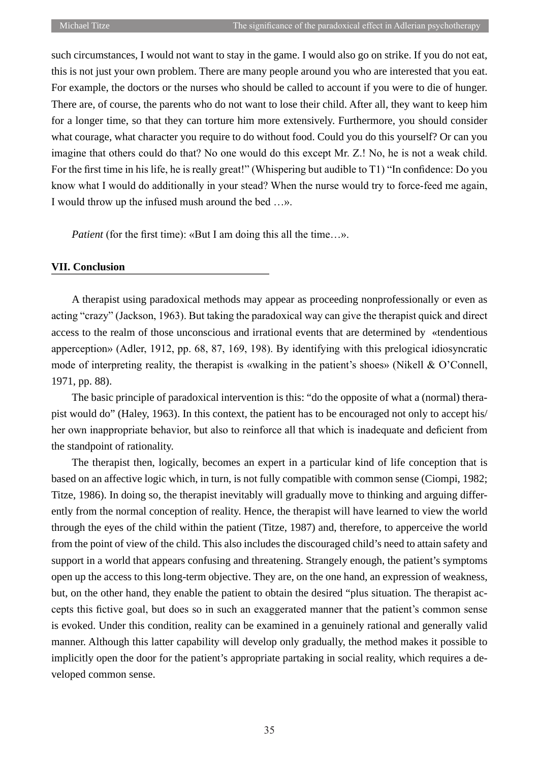such circumstances, I would not want to stay in the game. I would also go on strike. If you do not eat, this is not just your own problem. There are many people around you who are interested that you eat. For example, the doctors or the nurses who should be called to account if you were to die of hunger. There are, of course, the parents who do not want to lose their child. After all, they want to keep him for a longer time, so that they can torture him more extensively. Furthermore, you should consider what courage, what character you require to do without food. Could you do this yourself? Or can you imagine that others could do that? No one would do this except Mr. Z.! No, he is not a weak child. For the first time in his life, he is really great!" (Whispering but audible to T1) "In confidence: Do you know what I would do additionally in your stead? When the nurse would try to force-feed me again, I would throw up the infused mush around the bed …».

*Patient* (for the first time): «But I am doing this all the time...».

# **VII. Conclusion**

A therapist using paradoxical methods may appear as proceeding nonprofessionally or even as acting "crazy" (Jackson, 1963). But taking the paradoxical way can give the therapist quick and direct access to the realm of those unconscious and irrational events that are determined by «tendentious apperception» (Adler, 1912, pp. 68, 87, 169, 198). By identifying with this prelogical idiosyncratic mode of interpreting reality, the therapist is «walking in the patient's shoes» (Nikell & O'Connell, 1971, pp. 88).

The basic principle of paradoxical intervention is this: "do the opposite of what a (normal) therapist would do" (Haley, 1963). In this context, the patient has to be encouraged not only to accept his/ her own inappropriate behavior, but also to reinforce all that which is inadequate and deficient from the standpoint of rationality.

The therapist then, logically, becomes an expert in a particular kind of life conception that is based on an affective logic which, in turn, is not fully compatible with common sense (Ciompi, 1982; Titze, 1986). In doing so, the therapist inevitably will gradually move to thinking and arguing differently from the normal conception of reality. Hence, the therapist will have learned to view the world through the eyes of the child within the patient (Titze, 1987) and, therefore, to apperceive the world from the point of view of the child. This also includes the discouraged child's need to attain safety and support in a world that appears confusing and threatening. Strangely enough, the patient's symptoms open up the access to this long-term objective. They are, on the one hand, an expression of weakness, but, on the other hand, they enable the patient to obtain the desired "plus situation. The therapist accepts this fictive goal, but does so in such an exaggerated manner that the patient's common sense is evoked. Under this condition, reality can be examined in a genuinely rational and generally valid manner. Although this latter capability will develop only gradually, the method makes it possible to implicitly open the door for the patient's appropriate partaking in social reality, which requires a developed common sense.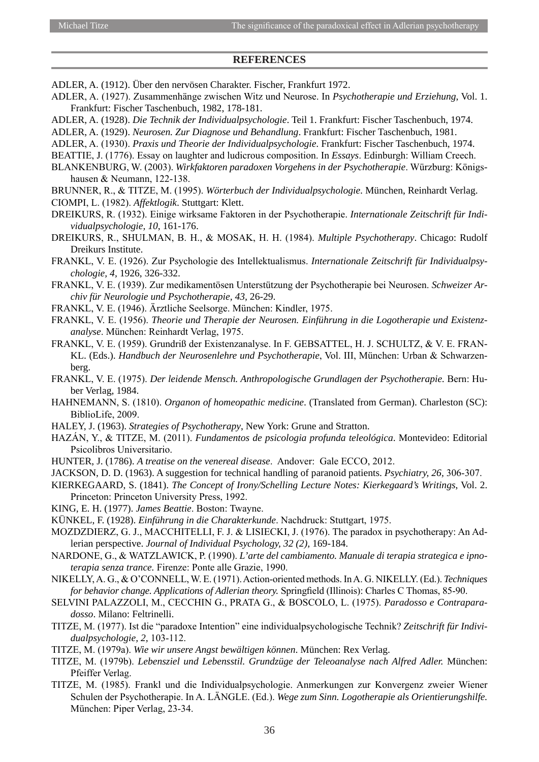#### **References**

- ADLER, A. (1912). Über den nervösen Charakter. Fischer, Frankfurt 1972.
- ADLER, A. (1927). Zusammenhänge zwischen Witz und Neurose. In *Psychotherapie und Erziehung*, Vol. 1. Frankfurt: Fischer Taschenbuch, 1982, 178-181.
- ADLER, A. (1928). *Die Technik der Individualpsychologie*. Teil 1. Frankfurt: Fischer Taschenbuch, 1974.
- ADLER, A. (1929). *Neurosen. Zur Diagnose und Behandlung*. Frankfurt: Fischer Taschenbuch, 1981.
- ADLER, A. (1930). *Praxis und Theorie der Individualpsychologie*. Frankfurt: Fischer Taschenbuch, 1974.
- BEATTIE, J. (1776). Essay on laughter and ludicrous composition. In *Essays*. Edinburgh: William Creech.
- BLANKENBURG, W. (2003). *Wirkfaktoren paradoxen Vorgehens in der Psychotherapie*. Würzburg: Königshausen & Neumann, 122-138.
- BRUNNER, R., & TITZE, M. (1995). *Wörterbuch der Individualpsychologie*. München, Reinhardt Verlag. CIOMPI, L. (1982). *Affektlogik*. Stuttgart: Klett.
- DREIKURS, R. (1932). Einige wirksame Faktoren in der Psychotherapie. *Internationale Zeitschrift für Individualpsychologie, 10*, 161-176.
- DREIKURS, R., SHULMAN, B. H., & MOSAK, H. H. (1984). *Multiple Psychotherapy*. Chicago: Rudolf Dreikurs Institute.
- FRANKL, V. E. (1926). Zur Psychologie des Intellektualismus. *Internationale Zeitschrift für Individualpsychologie, 4,* 1926, 326-332.
- FRANKL, V. E. (1939). Zur medikamentösen Unterstützung der Psychotherapie bei Neurosen. *Schweizer Archiv für Neurologie und Psychotherapie, 43,* 26-29.
- FRANKL, V. E. (1946). Ärztliche Seelsorge. München: Kindler, 1975.
- FRANKL, V. E. (1956). *Theorie und Therapie der Neurosen. Einführung in die Logotherapie und Existenzanalyse*. München: Reinhardt Verlag, 1975.
- FRANKL, V. E. (1959). Grundriß der Existenzanalyse. In F. GEBSATTEL, H. J. SCHULTZ, & V. E. FRAN-KL. (Eds.). *Handbuch der Neurosenlehre und Psychotherapie*, Vol. III, München: Urban & Schwarzenberg.
- FRANKL, V. E. (1975). *Der leidende Mensch. Anthropologische Grundlagen der Psychotherapie.* Bern: Huber Verlag, 1984.
- HAHNEMANN, S. (1810). *Organon of homeopathic medicine*. (Translated from German). Charleston (SC): BiblioLife, 2009.
- HALEY, J. (1963). *Strategies of Psychotherapy*, New York: Grune and Stratton.
- HAZÁN, Y., & TITZE, M. (2011). *Fundamentos de psicologia profunda teleológica*. Montevideo: Editorial Psicolibros Universitario.
- HUNTER, J. (1786). *A treatise on the venereal disease*. Andover: Gale ECCO, 2012.
- JACKSON, D. D. (1963). A suggestion for technical handling of paranoid patients. *Psychiatry, 26,* 306-307.
- KIERKEGAARD, S. (1841). *The Concept of Irony/Schelling Lecture Notes: Kierkegaard's Writings*, Vol. 2. Princeton: Princeton University Press, 1992.
- KING, E. H. (1977). *James Beattie*. Boston: Twayne.
- KÜNKEL, F. (1928). *Einführung in die Charakterkunde*. Nachdruck: Stuttgart, 1975.
- MOZDZDIERZ, G. J., MACCHITELLI, F. J. & LISIECKI, J. (1976). The paradox in psychotherapy: An Adlerian perspective. *Journal of Individual Psychology, 32 (2),* 169-184.
- NARDONE, G., & WATZLAWICK, P. (1990). *L'arte del cambiamento. Manuale di terapia strategica e ipnoterapia senza trance.* Firenze: Ponte alle Grazie, 1990.
- NIKELLY, A. G., & O'CONNELL, W. E. (1971). Action-oriented methods. In A. G. NIKELLY. (Ed.). *Techniques for behavior change. Applications of Adlerian theory.* Springfield (Illinois): Charles C Thomas, 85-90.
- SELVINI PALAZZOLI, M., CECCHIN G., PRATA G., & BOSCOLO, L. (1975). *Paradosso e Contraparadosso*. Milano: Feltrinelli.
- TITZE, M. (1977). Ist die "paradoxe Intention" eine individualpsychologische Technik? *Zeitschrift für Individualpsychologie, 2,* 103-112.
- TITZE, M. (1979a). *Wie wir unsere Angst bewältigen können*. München: Rex Verlag.
- TITZE, M. (1979b). *Lebensziel und Lebensstil. Grundzüge der Teleoanalyse nach Alfred Adler.* München: Pfeiffer Verlag.
- TITZE, M. (1985). Frankl und die Individualpsychologie. Anmerkungen zur Konvergenz zweier Wiener Schulen der Psychotherapie. In A. LÄNGLE. (Ed.). *Wege zum Sinn. Logotherapie als Orientierungshilfe.* München: Piper Verlag, 23-34.